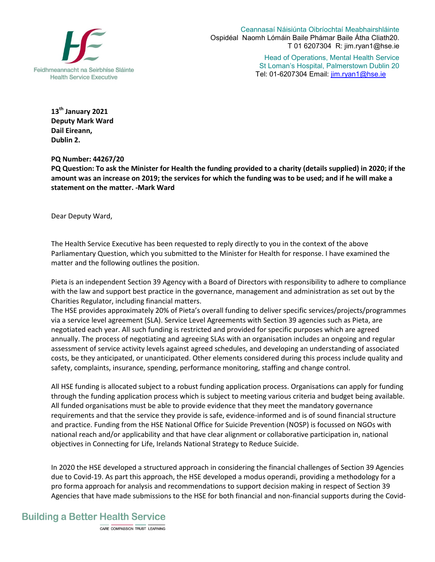

Ceannasaí Náisiúnta Oibríochtaí Meabhairshláinte Ospidéal Naomh Lómáin Baile Phámar Baile Átha Cliath20. T 01 6207304 R: jim.ryan1@hse.ie

> Head of Operations, Mental Health Service St Loman's Hospital, Palmerstown Dublin 20 Tel: 01-6207304 Email: jim.ryan1@hse.ie

**13th January 2021 Deputy Mark Ward Dail Eireann, Dublin 2.** 

**PQ Number: 44267/20**

**PQ Question: To ask the Minister for Health the funding provided to a charity (details supplied) in 2020; if the amount was an increase on 2019; the services for which the funding was to be used; and if he will make a statement on the matter. -Mark Ward** 

Dear Deputy Ward,

The Health Service Executive has been requested to reply directly to you in the context of the above Parliamentary Question, which you submitted to the Minister for Health for response. I have examined the matter and the following outlines the position.

Pieta is an independent Section 39 Agency with a Board of Directors with responsibility to adhere to compliance with the law and support best practice in the governance, management and administration as set out by the Charities Regulator, including financial matters.

The HSE provides approximately 20% of Pieta's overall funding to deliver specific services/projects/programmes via a service level agreement (SLA). Service Level Agreements with Section 39 agencies such as Pieta, are negotiated each year. All such funding is restricted and provided for specific purposes which are agreed annually. The process of negotiating and agreeing SLAs with an organisation includes an ongoing and regular assessment of service activity levels against agreed schedules, and developing an understanding of associated costs, be they anticipated, or unanticipated. Other elements considered during this process include quality and safety, complaints, insurance, spending, performance monitoring, staffing and change control.

All HSE funding is allocated subject to a robust funding application process. Organisations can apply for funding through the funding application process which is subject to meeting various criteria and budget being available. All funded organisations must be able to provide evidence that they meet the mandatory governance requirements and that the service they provide is safe, evidence-informed and is of sound financial structure and practice. Funding from the HSE National Office for Suicide Prevention (NOSP) is focussed on NGOs with national reach and/or applicability and that have clear alignment or collaborative participation in, national objectives in Connecting for Life, Irelands National Strategy to Reduce Suicide.

In 2020 the HSE developed a structured approach in considering the financial challenges of Section 39 Agencies due to Covid-19. As part this approach, the HSE developed a modus operandi, providing a methodology for a pro forma approach for analysis and recommendations to support decision making in respect of Section 39 Agencies that have made submissions to the HSE for both financial and non-financial supports during the Covid-

## **Building a Better Health Service**

CARE COMPASSION TRUST LEARNING